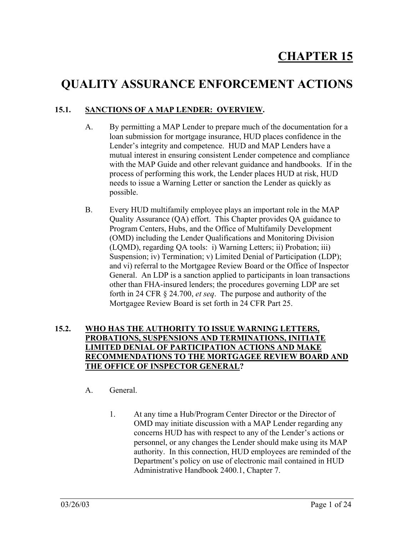# **QUALITY ASSURANCE ENFORCEMENT ACTIONS**

# **15.1. SANCTIONS OF A MAP LENDER: OVERVIEW.**

- A. By permitting a MAP Lender to prepare much of the documentation for a loan submission for mortgage insurance, HUD places confidence in the Lender's integrity and competence. HUD and MAP Lenders have a mutual interest in ensuring consistent Lender competence and compliance with the MAP Guide and other relevant guidance and handbooks. If in the process of performing this work, the Lender places HUD at risk, HUD needs to issue a Warning Letter or sanction the Lender as quickly as possible.
- B. Every HUD multifamily employee plays an important role in the MAP Quality Assurance (QA) effort. This Chapter provides QA guidance to Program Centers, Hubs, and the Office of Multifamily Development (OMD) including the Lender Qualifications and Monitoring Division (LQMD), regarding QA tools: i) Warning Letters; ii) Probation; iii) Suspension; iv) Termination; v) Limited Denial of Participation (LDP); and vi) referral to the Mortgagee Review Board or the Office of Inspector General. An LDP is a sanction applied to participants in loan transactions other than FHA-insured lenders; the procedures governing LDP are set forth in 24 CFR § 24.700, *et seq*. The purpose and authority of the Mortgagee Review Board is set forth in 24 CFR Part 25.

### **15.2. WHO HAS THE AUTHORITY TO ISSUE WARNING LETTERS, PROBATIONS, SUSPENSIONS AND TERMINATIONS, INITIATE LIMITED DENIAL OF PARTICIPATION ACTIONS AND MAKE RECOMMENDATIONS TO THE MORTGAGEE REVIEW BOARD AND THE OFFICE OF INSPECTOR GENERAL?**

- A. General.
	- 1. At any time a Hub/Program Center Director or the Director of OMD may initiate discussion with a MAP Lender regarding any concerns HUD has with respect to any of the Lender's actions or personnel, or any changes the Lender should make using its MAP authority. In this connection, HUD employees are reminded of the Department's policy on use of electronic mail contained in HUD Administrative Handbook 2400.1, Chapter 7.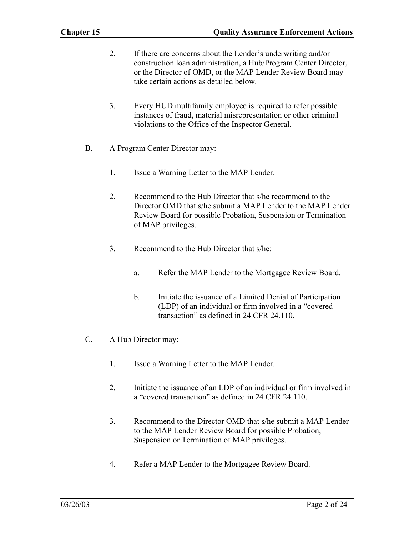- 2. If there are concerns about the Lender's underwriting and/or construction loan administration, a Hub/Program Center Director, or the Director of OMD, or the MAP Lender Review Board may take certain actions as detailed below.
- 3. Every HUD multifamily employee is required to refer possible instances of fraud, material misrepresentation or other criminal violations to the Office of the Inspector General.
- B. A Program Center Director may:
	- 1. Issue a Warning Letter to the MAP Lender.
	- 2. Recommend to the Hub Director that s/he recommend to the Director OMD that s/he submit a MAP Lender to the MAP Lender Review Board for possible Probation, Suspension or Termination of MAP privileges.
	- 3. Recommend to the Hub Director that s/he:
		- a. Refer the MAP Lender to the Mortgagee Review Board.
		- b. Initiate the issuance of a Limited Denial of Participation (LDP) of an individual or firm involved in a "covered transaction" as defined in 24 CFR 24.110.
- C. A Hub Director may:
	- 1. Issue a Warning Letter to the MAP Lender.
	- 2. Initiate the issuance of an LDP of an individual or firm involved in a "covered transaction" as defined in 24 CFR 24.110.
	- 3. Recommend to the Director OMD that s/he submit a MAP Lender to the MAP Lender Review Board for possible Probation, Suspension or Termination of MAP privileges.
	- 4. Refer a MAP Lender to the Mortgagee Review Board.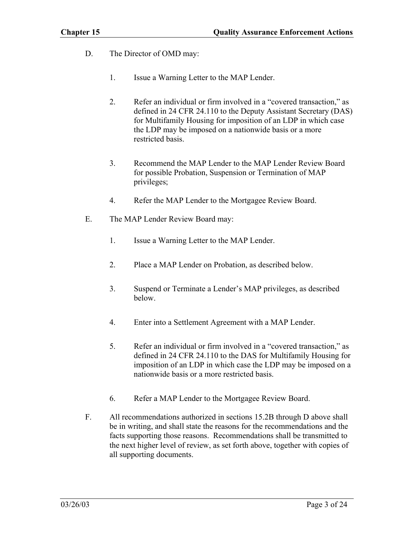- D. The Director of OMD may:
	- 1. Issue a Warning Letter to the MAP Lender.
	- 2. Refer an individual or firm involved in a "covered transaction," as defined in 24 CFR 24.110 to the Deputy Assistant Secretary (DAS) for Multifamily Housing for imposition of an LDP in which case the LDP may be imposed on a nationwide basis or a more restricted basis.
	- 3. Recommend the MAP Lender to the MAP Lender Review Board for possible Probation, Suspension or Termination of MAP privileges;
	- 4. Refer the MAP Lender to the Mortgagee Review Board.
- E. The MAP Lender Review Board may:
	- 1. Issue a Warning Letter to the MAP Lender.
	- 2. Place a MAP Lender on Probation, as described below.
	- 3. Suspend or Terminate a Lender's MAP privileges, as described below.
	- 4. Enter into a Settlement Agreement with a MAP Lender.
	- 5. Refer an individual or firm involved in a "covered transaction," as defined in 24 CFR 24.110 to the DAS for Multifamily Housing for imposition of an LDP in which case the LDP may be imposed on a nationwide basis or a more restricted basis.
	- 6. Refer a MAP Lender to the Mortgagee Review Board.
- F. All recommendations authorized in sections 15.2B through D above shall be in writing, and shall state the reasons for the recommendations and the facts supporting those reasons. Recommendations shall be transmitted to the next higher level of review, as set forth above, together with copies of all supporting documents.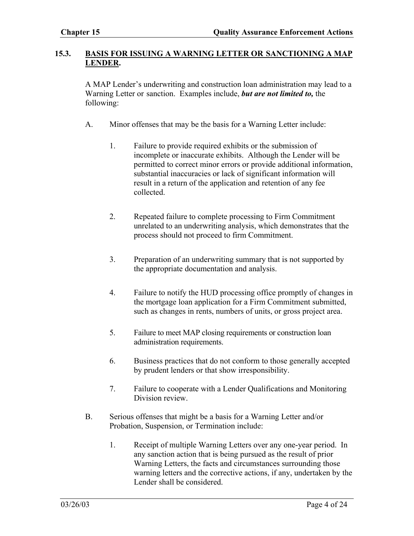#### **15.3. BASIS FOR ISSUING A WARNING LETTER OR SANCTIONING A MAP LENDER.**

A MAP Lender's underwriting and construction loan administration may lead to a Warning Letter or sanction. Examples include, *but are not limited to,* the following:

- A. Minor offenses that may be the basis for a Warning Letter include:
	- 1. Failure to provide required exhibits or the submission of incomplete or inaccurate exhibits. Although the Lender will be permitted to correct minor errors or provide additional information, substantial inaccuracies or lack of significant information will result in a return of the application and retention of any fee collected.
	- 2. Repeated failure to complete processing to Firm Commitment unrelated to an underwriting analysis, which demonstrates that the process should not proceed to firm Commitment.
	- 3. Preparation of an underwriting summary that is not supported by the appropriate documentation and analysis.
	- 4. Failure to notify the HUD processing office promptly of changes in the mortgage loan application for a Firm Commitment submitted, such as changes in rents, numbers of units, or gross project area.
	- 5. Failure to meet MAP closing requirements or construction loan administration requirements.
	- 6. Business practices that do not conform to those generally accepted by prudent lenders or that show irresponsibility.
	- 7. Failure to cooperate with a Lender Qualifications and Monitoring Division review.
- B. Serious offenses that might be a basis for a Warning Letter and/or Probation, Suspension, or Termination include:
	- 1. Receipt of multiple Warning Letters over any one-year period. In any sanction action that is being pursued as the result of prior Warning Letters, the facts and circumstances surrounding those warning letters and the corrective actions, if any, undertaken by the Lender shall be considered.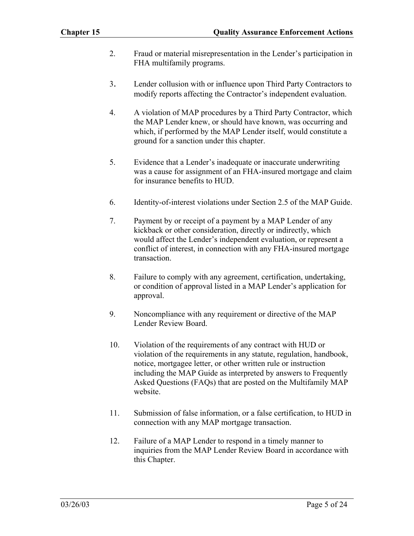- 2. Fraud or material misrepresentation in the Lender's participation in FHA multifamily programs.
- 3. Lender collusion with or influence upon Third Party Contractors to modify reports affecting the Contractor's independent evaluation.
- 4. A violation of MAP procedures by a Third Party Contractor, which the MAP Lender knew, or should have known, was occurring and which, if performed by the MAP Lender itself, would constitute a ground for a sanction under this chapter.
- 5. Evidence that a Lender's inadequate or inaccurate underwriting was a cause for assignment of an FHA-insured mortgage and claim for insurance benefits to HUD.
- 6. Identity-of-interest violations under Section 2.5 of the MAP Guide.
- 7. Payment by or receipt of a payment by a MAP Lender of any kickback or other consideration, directly or indirectly, which would affect the Lender's independent evaluation, or represent a conflict of interest, in connection with any FHA-insured mortgage transaction.
- 8. Failure to comply with any agreement, certification, undertaking, or condition of approval listed in a MAP Lender's application for approval.
- 9. Noncompliance with any requirement or directive of the MAP Lender Review Board.
- 10. Violation of the requirements of any contract with HUD or violation of the requirements in any statute, regulation, handbook, notice, mortgagee letter, or other written rule or instruction including the MAP Guide as interpreted by answers to Frequently Asked Questions (FAQs) that are posted on the Multifamily MAP website.
- 11. Submission of false information, or a false certification, to HUD in connection with any MAP mortgage transaction.
- 12. Failure of a MAP Lender to respond in a timely manner to inquiries from the MAP Lender Review Board in accordance with this Chapter.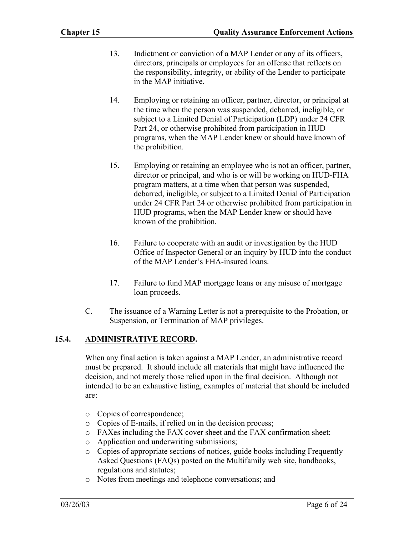- 13. Indictment or conviction of a MAP Lender or any of its officers, directors, principals or employees for an offense that reflects on the responsibility, integrity, or ability of the Lender to participate in the MAP initiative.
- 14. Employing or retaining an officer, partner, director, or principal at the time when the person was suspended, debarred, ineligible, or subject to a Limited Denial of Participation (LDP) under 24 CFR Part 24, or otherwise prohibited from participation in HUD programs, when the MAP Lender knew or should have known of the prohibition.
- 15. Employing or retaining an employee who is not an officer, partner, director or principal, and who is or will be working on HUD-FHA program matters, at a time when that person was suspended, debarred, ineligible, or subject to a Limited Denial of Participation under 24 CFR Part 24 or otherwise prohibited from participation in HUD programs, when the MAP Lender knew or should have known of the prohibition.
- 16. Failure to cooperate with an audit or investigation by the HUD Office of Inspector General or an inquiry by HUD into the conduct of the MAP Lender's FHA-insured loans.
- 17. Failure to fund MAP mortgage loans or any misuse of mortgage loan proceeds.
- C. The issuance of a Warning Letter is not a prerequisite to the Probation, or Suspension, or Termination of MAP privileges.

## **15.4. ADMINISTRATIVE RECORD.**

When any final action is taken against a MAP Lender, an administrative record must be prepared. It should include all materials that might have influenced the decision, and not merely those relied upon in the final decision. Although not intended to be an exhaustive listing, examples of material that should be included are:

- o Copies of correspondence;
- o Copies of E-mails, if relied on in the decision process;
- o FAXes including the FAX cover sheet and the FAX confirmation sheet;
- o Application and underwriting submissions;
- o Copies of appropriate sections of notices, guide books including Frequently Asked Questions (FAQs) posted on the Multifamily web site, handbooks, regulations and statutes;
- o Notes from meetings and telephone conversations; and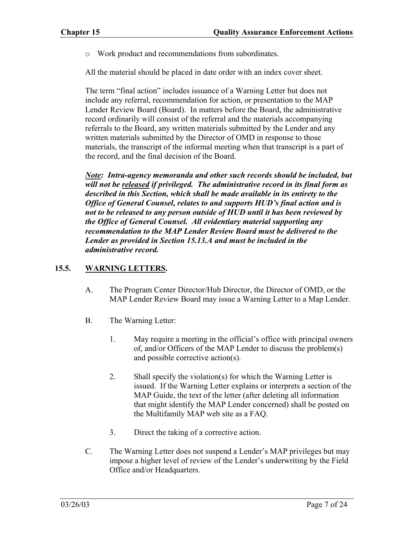o Work product and recommendations from subordinates.

All the material should be placed in date order with an index cover sheet.

The term "final action" includes issuance of a Warning Letter but does not include any referral, recommendation for action, or presentation to the MAP Lender Review Board (Board). In matters before the Board, the administrative record ordinarily will consist of the referral and the materials accompanying referrals to the Board, any written materials submitted by the Lender and any written materials submitted by the Director of OMD in response to those materials, the transcript of the informal meeting when that transcript is a part of the record, and the final decision of the Board.

*Note: Intra-agency memoranda and other such records should be included, but will not be released if privileged. The administrative record in its final form as described in this Section, which shall be made available in its entirety to the Office of General Counsel, relates to and supports HUD's final action and is not to be released to any person outside of HUD until it has been reviewed by the Office of General Counsel. All evidentiary material supporting any recommendation to the MAP Lender Review Board must be delivered to the Lender as provided in Section 15.13.A and must be included in the administrative record.* 

### **15.5. WARNING LETTERS.**

- A. The Program Center Director/Hub Director, the Director of OMD, or the MAP Lender Review Board may issue a Warning Letter to a Map Lender.
- B. The Warning Letter:
	- 1. May require a meeting in the official's office with principal owners of, and/or Officers of the MAP Lender to discuss the problem(s) and possible corrective action(s).
	- 2. Shall specify the violation(s) for which the Warning Letter is issued. If the Warning Letter explains or interprets a section of the MAP Guide, the text of the letter (after deleting all information that might identify the MAP Lender concerned) shall be posted on the Multifamily MAP web site as a FAQ.
	- 3. Direct the taking of a corrective action.
- C. The Warning Letter does not suspend a Lender's MAP privileges but may impose a higher level of review of the Lender's underwriting by the Field Office and/or Headquarters.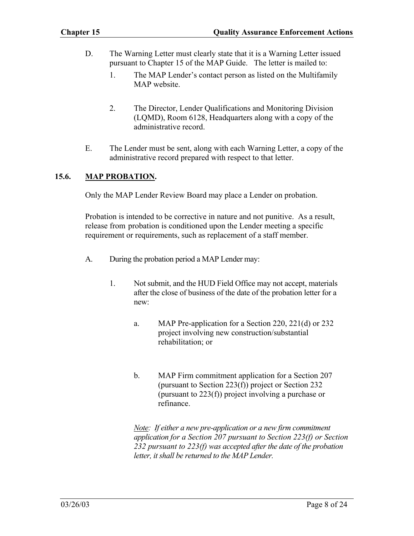- D. The Warning Letter must clearly state that it is a Warning Letter issued pursuant to Chapter 15 of the MAP Guide. The letter is mailed to:
	- 1. The MAP Lender's contact person as listed on the Multifamily MAP website.
	- 2. The Director, Lender Qualifications and Monitoring Division (LQMD), Room 6128, Headquarters along with a copy of the administrative record.
- E. The Lender must be sent, along with each Warning Letter, a copy of the administrative record prepared with respect to that letter.

#### **15.6. MAP PROBATION.**

Only the MAP Lender Review Board may place a Lender on probation.

Probation is intended to be corrective in nature and not punitive. As a result, release from probation is conditioned upon the Lender meeting a specific requirement or requirements, such as replacement of a staff member.

- A. During the probation period a MAP Lender may:
	- 1. Not submit, and the HUD Field Office may not accept, materials after the close of business of the date of the probation letter for a new:
		- a. MAP Pre-application for a Section 220, 221(d) or 232 project involving new construction/substantial rehabilitation; or
		- b. MAP Firm commitment application for a Section 207 (pursuant to Section 223(f)) project or Section 232 (pursuant to 223(f)) project involving a purchase or refinance.

*Note: If either a new pre-application or a new firm commitment application for a Section 207 pursuant to Section 223(f) or Section 232 pursuant to 223(f) was accepted after the date of the probation*  letter, it shall be returned to the MAP Lender.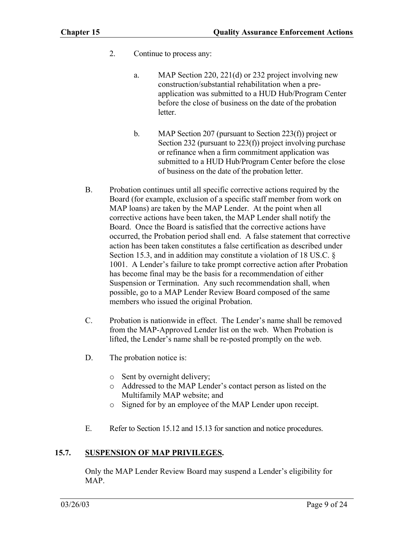- 2. Continue to process any:
	- a. MAP Section 220, 221(d) or 232 project involving new construction/substantial rehabilitation when a preapplication was submitted to a HUD Hub/Program Center before the close of business on the date of the probation letter.
	- b. MAP Section 207 (pursuant to Section 223(f)) project or Section 232 (pursuant to 223(f)) project involving purchase or refinance when a firm commitment application was submitted to a HUD Hub/Program Center before the close of business on the date of the probation letter.
- B. Probation continues until all specific corrective actions required by the Board (for example, exclusion of a specific staff member from work on MAP loans) are taken by the MAP Lender. At the point when all corrective actions have been taken, the MAP Lender shall notify the Board. Once the Board is satisfied that the corrective actions have occurred, the Probation period shall end. A false statement that corrective action has been taken constitutes a false certification as described under Section 15.3, and in addition may constitute a violation of 18 US.C. § 1001. A Lender's failure to take prompt corrective action after Probation has become final may be the basis for a recommendation of either Suspension or Termination. Any such recommendation shall, when possible, go to a MAP Lender Review Board composed of the same members who issued the original Probation.
- C. Probation is nationwide in effect. The Lender's name shall be removed from the MAP-Approved Lender list on the web. When Probation is lifted, the Lender's name shall be re-posted promptly on the web.
- D. The probation notice is:
	- o Sent by overnight delivery;
	- o Addressed to the MAP Lender's contact person as listed on the Multifamily MAP website; and
	- o Signed for by an employee of the MAP Lender upon receipt.
- E. Refer to Section 15.12 and 15.13 for sanction and notice procedures.

## **15.7. SUSPENSION OF MAP PRIVILEGES.**

Only the MAP Lender Review Board may suspend a Lender's eligibility for MAP.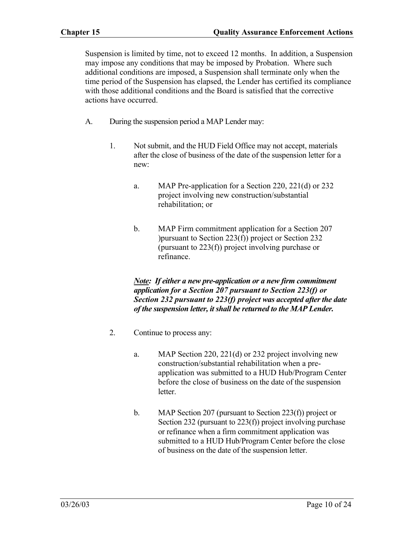Suspension is limited by time, not to exceed 12 months. In addition, a Suspension may impose any conditions that may be imposed by Probation. Where such additional conditions are imposed, a Suspension shall terminate only when the time period of the Suspension has elapsed, the Lender has certified its compliance with those additional conditions and the Board is satisfied that the corrective actions have occurred.

- A. During the suspension period a MAP Lender may:
	- 1. Not submit, and the HUD Field Office may not accept, materials after the close of business of the date of the suspension letter for a new:
		- a. MAP Pre-application for a Section 220, 221(d) or 232 project involving new construction/substantial rehabilitation; or
		- b. MAP Firm commitment application for a Section 207 )pursuant to Section 223(f)) project or Section 232 (pursuant to 223(f)) project involving purchase or refinance.

*Note: If either a new pre-application or a new firm commitment application for a Section 207 pursuant to Section 223(f) or Section 232 pursuant to 223(f) project was accepted after the date of the suspension letter, it shall be returned to the MAP Lender.* 

- 2. Continue to process any:
	- a. MAP Section 220, 221(d) or 232 project involving new construction/substantial rehabilitation when a preapplication was submitted to a HUD Hub/Program Center before the close of business on the date of the suspension letter.
	- b. MAP Section 207 (pursuant to Section 223(f)) project or Section 232 (pursuant to 223(f)) project involving purchase or refinance when a firm commitment application was submitted to a HUD Hub/Program Center before the close of business on the date of the suspension letter.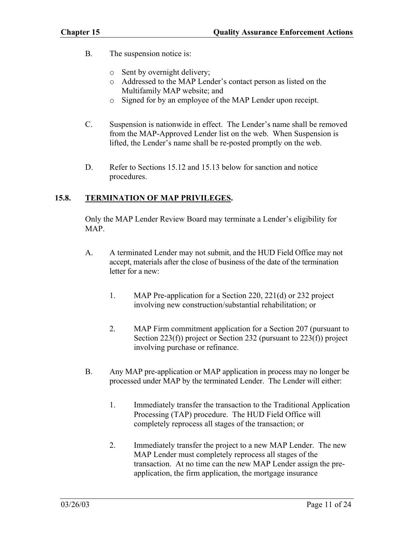- B. The suspension notice is:
	- o Sent by overnight delivery;
	- o Addressed to the MAP Lender's contact person as listed on the Multifamily MAP website; and
	- o Signed for by an employee of the MAP Lender upon receipt.
- C. Suspension is nationwide in effect. The Lender's name shall be removed from the MAP-Approved Lender list on the web. When Suspension is lifted, the Lender's name shall be re-posted promptly on the web.
- D. Refer to Sections 15.12 and 15.13 below for sanction and notice procedures.

## **15.8. TERMINATION OF MAP PRIVILEGES.**

Only the MAP Lender Review Board may terminate a Lender's eligibility for MAP.

- A. A terminated Lender may not submit, and the HUD Field Office may not accept, materials after the close of business of the date of the termination letter for a new:
	- 1. MAP Pre-application for a Section 220, 221(d) or 232 project involving new construction/substantial rehabilitation; or
	- 2. MAP Firm commitment application for a Section 207 (pursuant to Section 223(f)) project or Section 232 (pursuant to 223(f)) project involving purchase or refinance.
- B. Any MAP pre-application or MAP application in process may no longer be processed under MAP by the terminated Lender. The Lender will either:
	- 1. Immediately transfer the transaction to the Traditional Application Processing (TAP) procedure. The HUD Field Office will completely reprocess all stages of the transaction; or
	- 2. Immediately transfer the project to a new MAP Lender. The new MAP Lender must completely reprocess all stages of the transaction. At no time can the new MAP Lender assign the preapplication, the firm application, the mortgage insurance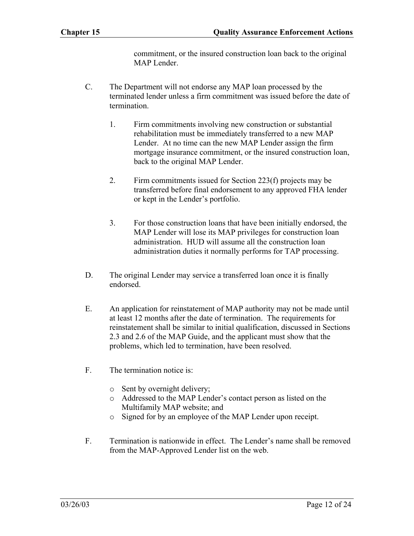commitment, or the insured construction loan back to the original MAP Lender

- C. The Department will not endorse any MAP loan processed by the terminated lender unless a firm commitment was issued before the date of termination.
	- 1. Firm commitments involving new construction or substantial rehabilitation must be immediately transferred to a new MAP Lender. At no time can the new MAP Lender assign the firm mortgage insurance commitment, or the insured construction loan, back to the original MAP Lender.
	- 2. Firm commitments issued for Section 223(f) projects may be transferred before final endorsement to any approved FHA lender or kept in the Lender's portfolio.
	- 3. For those construction loans that have been initially endorsed, the MAP Lender will lose its MAP privileges for construction loan administration. HUD will assume all the construction loan administration duties it normally performs for TAP processing.
- D. The original Lender may service a transferred loan once it is finally endorsed.
- E. An application for reinstatement of MAP authority may not be made until at least 12 months after the date of termination. The requirements for reinstatement shall be similar to initial qualification, discussed in Sections 2.3 and 2.6 of the MAP Guide, and the applicant must show that the problems, which led to termination, have been resolved.
- F. The termination notice is:
	- o Sent by overnight delivery;
	- o Addressed to the MAP Lender's contact person as listed on the Multifamily MAP website; and
	- o Signed for by an employee of the MAP Lender upon receipt.
- F. Termination is nationwide in effect. The Lender's name shall be removed from the MAP-Approved Lender list on the web.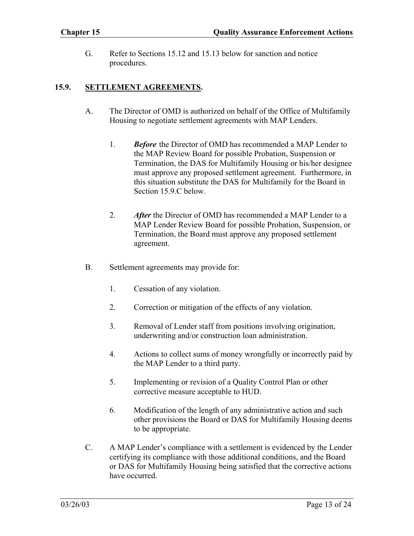G. Refer to Sections 15.12 and 15.13 below for sanction and notice procedures.

#### **15.9. SETTLEMENT AGREEMENTS.**

- A. The Director of OMD is authorized on behalf of the Office of Multifamily Housing to negotiate settlement agreements with MAP Lenders.
	- 1. *Before* the Director of OMD has recommended a MAP Lender to the MAP Review Board for possible Probation, Suspension or Termination, the DAS for Multifamily Housing or his/her designee must approve any proposed settlement agreement. Furthermore, in this situation substitute the DAS for Multifamily for the Board in Section 15.9 C below.
	- 2. *After* the Director of OMD has recommended a MAP Lender to a MAP Lender Review Board for possible Probation, Suspension, or Termination, the Board must approve any proposed settlement agreement.
- B. Settlement agreements may provide for:
	- 1. Cessation of any violation.
	- 2. Correction or mitigation of the effects of any violation.
	- 3. Removal of Lender staff from positions involving origination, underwriting and/or construction loan administration.
	- 4. Actions to collect sums of money wrongfully or incorrectly paid by the MAP Lender to a third party.
	- 5. Implementing or revision of a Quality Control Plan or other corrective measure acceptable to HUD.
	- 6. Modification of the length of any administrative action and such other provisions the Board or DAS for Multifamily Housing deems to be appropriate.
- C. A MAP Lender's compliance with a settlement is evidenced by the Lender certifying its compliance with those additional conditions, and the Board or DAS for Multifamily Housing being satisfied that the corrective actions have occurred.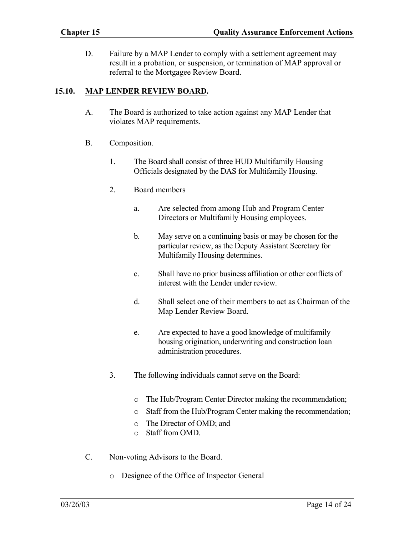D. Failure by a MAP Lender to comply with a settlement agreement may result in a probation, or suspension, or termination of MAP approval or referral to the Mortgagee Review Board.

#### **15.10. MAP LENDER REVIEW BOARD.**

- A. The Board is authorized to take action against any MAP Lender that violates MAP requirements.
- B. Composition.
	- 1. The Board shall consist of three HUD Multifamily Housing Officials designated by the DAS for Multifamily Housing.
	- 2. Board members
		- a. Are selected from among Hub and Program Center Directors or Multifamily Housing employees.
		- b. May serve on a continuing basis or may be chosen for the particular review, as the Deputy Assistant Secretary for Multifamily Housing determines.
		- c. Shall have no prior business affiliation or other conflicts of interest with the Lender under review.
		- d. Shall select one of their members to act as Chairman of the Map Lender Review Board.
		- e. Are expected to have a good knowledge of multifamily housing origination, underwriting and construction loan administration procedures.
	- 3. The following individuals cannot serve on the Board:
		- o The Hub/Program Center Director making the recommendation;
		- o Staff from the Hub/Program Center making the recommendation;
		- o The Director of OMD; and
		- o Staff from OMD.
- C. Non-voting Advisors to the Board.
	- o Designee of the Office of Inspector General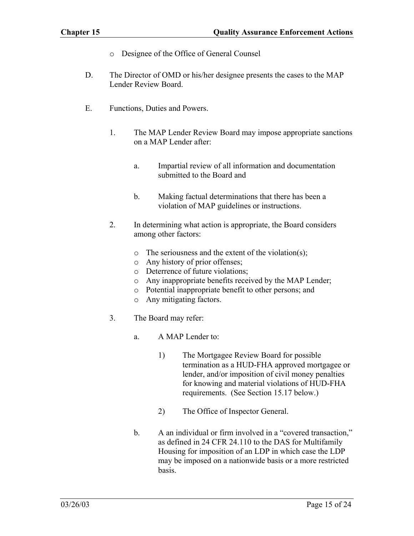- o Designee of the Office of General Counsel
- D. The Director of OMD or his/her designee presents the cases to the MAP Lender Review Board.
- E. Functions, Duties and Powers.
	- 1. The MAP Lender Review Board may impose appropriate sanctions on a MAP Lender after:
		- a. Impartial review of all information and documentation submitted to the Board and
		- b. Making factual determinations that there has been a violation of MAP guidelines or instructions.
	- 2. In determining what action is appropriate, the Board considers among other factors:
		- o The seriousness and the extent of the violation(s);
		- o Any history of prior offenses;
		- o Deterrence of future violations;
		- o Any inappropriate benefits received by the MAP Lender;
		- o Potential inappropriate benefit to other persons; and
		- o Any mitigating factors.
	- 3. The Board may refer:
		- a. A MAP Lender to:
			- 1) The Mortgagee Review Board for possible termination as a HUD-FHA approved mortgagee or lender, and/or imposition of civil money penalties for knowing and material violations of HUD-FHA requirements. (See Section 15.17 below.)
			- 2) The Office of Inspector General.
		- b. A an individual or firm involved in a "covered transaction," as defined in 24 CFR 24.110 to the DAS for Multifamily Housing for imposition of an LDP in which case the LDP may be imposed on a nationwide basis or a more restricted basis.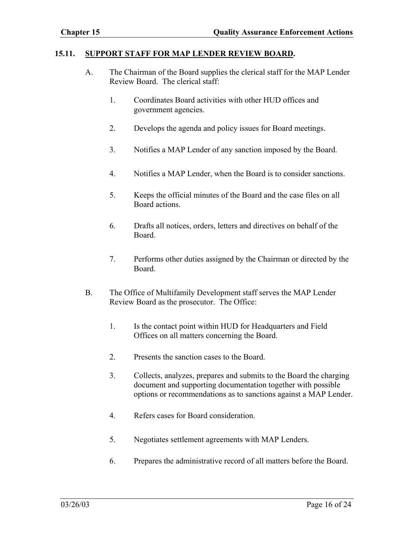#### **15.11. SUPPORT STAFF FOR MAP LENDER REVIEW BOARD.**

- A. The Chairman of the Board supplies the clerical staff for the MAP Lender Review Board. The clerical staff:
	- 1. Coordinates Board activities with other HUD offices and government agencies.
	- 2. Develops the agenda and policy issues for Board meetings.
	- 3. Notifies a MAP Lender of any sanction imposed by the Board.
	- 4. Notifies a MAP Lender, when the Board is to consider sanctions.
	- 5. Keeps the official minutes of the Board and the case files on all Board actions.
	- 6. Drafts all notices, orders, letters and directives on behalf of the Board.
	- 7. Performs other duties assigned by the Chairman or directed by the Board.
- B. The Office of Multifamily Development staff serves the MAP Lender Review Board as the prosecutor. The Office:
	- 1. Is the contact point within HUD for Headquarters and Field Offices on all matters concerning the Board.
	- 2. Presents the sanction cases to the Board.
	- 3. Collects, analyzes, prepares and submits to the Board the charging document and supporting documentation together with possible options or recommendations as to sanctions against a MAP Lender.
	- 4. Refers cases for Board consideration.
	- 5. Negotiates settlement agreements with MAP Lenders.
	- 6. Prepares the administrative record of all matters before the Board.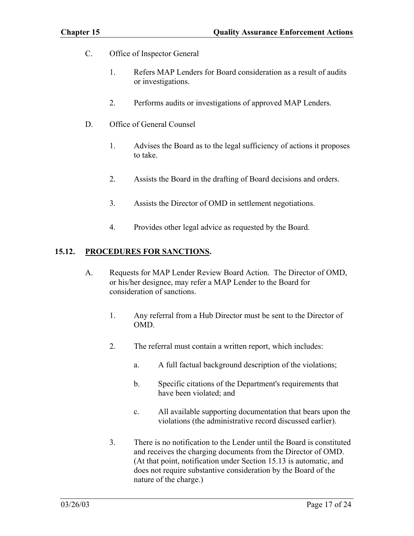- C. Office of Inspector General
	- 1. Refers MAP Lenders for Board consideration as a result of audits or investigations.
	- 2. Performs audits or investigations of approved MAP Lenders.
- D. Office of General Counsel
	- 1. Advises the Board as to the legal sufficiency of actions it proposes to take.
	- 2. Assists the Board in the drafting of Board decisions and orders.
	- 3. Assists the Director of OMD in settlement negotiations.
	- 4. Provides other legal advice as requested by the Board.

#### **15.12. PROCEDURES FOR SANCTIONS.**

- A. Requests for MAP Lender Review Board Action. The Director of OMD, or his/her designee, may refer a MAP Lender to the Board for consideration of sanctions.
	- 1. Any referral from a Hub Director must be sent to the Director of OMD.
	- 2. The referral must contain a written report, which includes:
		- a. A full factual background description of the violations;
		- b. Specific citations of the Department's requirements that have been violated; and
		- c. All available supporting documentation that bears upon the violations (the administrative record discussed earlier).
	- 3. There is no notification to the Lender until the Board is constituted and receives the charging documents from the Director of OMD. (At that point, notification under Section 15.13 is automatic, and does not require substantive consideration by the Board of the nature of the charge.)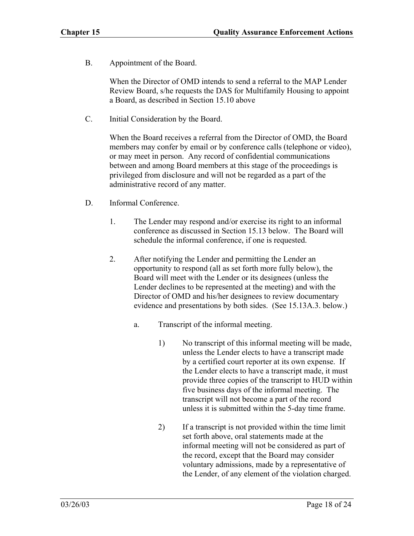B. Appointment of the Board.

When the Director of OMD intends to send a referral to the MAP Lender Review Board, s/he requests the DAS for Multifamily Housing to appoint a Board, as described in Section 15.10 above

C. Initial Consideration by the Board.

When the Board receives a referral from the Director of OMD, the Board members may confer by email or by conference calls (telephone or video), or may meet in person. Any record of confidential communications between and among Board members at this stage of the proceedings is privileged from disclosure and will not be regarded as a part of the administrative record of any matter.

- D. Informal Conference.
	- 1. The Lender may respond and/or exercise its right to an informal conference as discussed in Section 15.13 below. The Board will schedule the informal conference, if one is requested.
	- 2. After notifying the Lender and permitting the Lender an opportunity to respond (all as set forth more fully below), the Board will meet with the Lender or its designees (unless the Lender declines to be represented at the meeting) and with the Director of OMD and his/her designees to review documentary evidence and presentations by both sides. (See 15.13A.3. below.)
		- a. Transcript of the informal meeting.
			- 1) No transcript of this informal meeting will be made, unless the Lender elects to have a transcript made by a certified court reporter at its own expense. If the Lender elects to have a transcript made, it must provide three copies of the transcript to HUD within five business days of the informal meeting. The transcript will not become a part of the record unless it is submitted within the 5-day time frame.
			- 2) If a transcript is not provided within the time limit set forth above, oral statements made at the informal meeting will not be considered as part of the record, except that the Board may consider voluntary admissions, made by a representative of the Lender, of any element of the violation charged.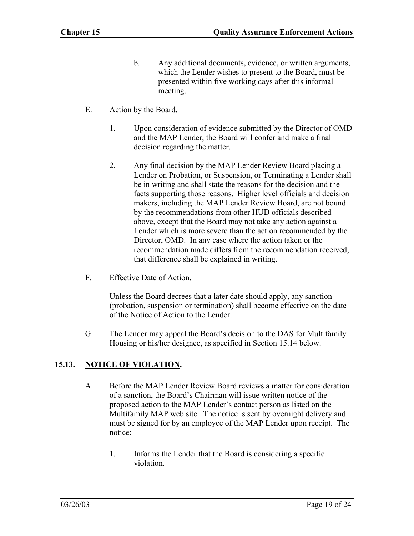- b. Any additional documents, evidence, or written arguments, which the Lender wishes to present to the Board, must be presented within five working days after this informal meeting.
- E. Action by the Board.
	- 1. Upon consideration of evidence submitted by the Director of OMD and the MAP Lender, the Board will confer and make a final decision regarding the matter.
	- 2. Any final decision by the MAP Lender Review Board placing a Lender on Probation, or Suspension, or Terminating a Lender shall be in writing and shall state the reasons for the decision and the facts supporting those reasons. Higher level officials and decision makers, including the MAP Lender Review Board, are not bound by the recommendations from other HUD officials described above, except that the Board may not take any action against a Lender which is more severe than the action recommended by the Director, OMD. In any case where the action taken or the recommendation made differs from the recommendation received, that difference shall be explained in writing.
- F. Effective Date of Action.

Unless the Board decrees that a later date should apply, any sanction (probation, suspension or termination) shall become effective on the date of the Notice of Action to the Lender.

G. The Lender may appeal the Board's decision to the DAS for Multifamily Housing or his/her designee, as specified in Section 15.14 below.

#### **15.13. NOTICE OF VIOLATION.**

- A. Before the MAP Lender Review Board reviews a matter for consideration of a sanction, the Board's Chairman will issue written notice of the proposed action to the MAP Lender's contact person as listed on the Multifamily MAP web site. The notice is sent by overnight delivery and must be signed for by an employee of the MAP Lender upon receipt. The notice:
	- 1. Informs the Lender that the Board is considering a specific violation.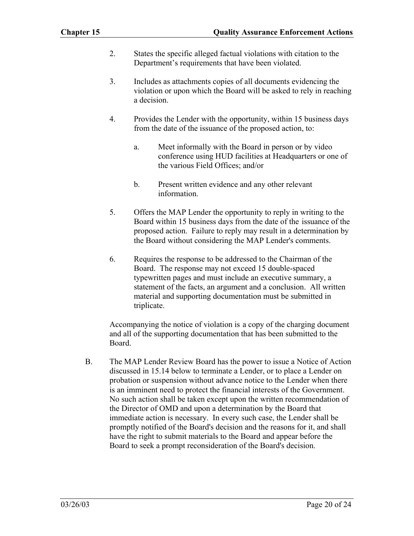- 2. States the specific alleged factual violations with citation to the Department's requirements that have been violated.
- 3. Includes as attachments copies of all documents evidencing the violation or upon which the Board will be asked to rely in reaching a decision.
- 4. Provides the Lender with the opportunity, within 15 business days from the date of the issuance of the proposed action, to:
	- a. Meet informally with the Board in person or by video conference using HUD facilities at Headquarters or one of the various Field Offices; and/or
	- b. Present written evidence and any other relevant information.
- 5. Offers the MAP Lender the opportunity to reply in writing to the Board within 15 business days from the date of the issuance of the proposed action. Failure to reply may result in a determination by the Board without considering the MAP Lender's comments.
- 6. Requires the response to be addressed to the Chairman of the Board. The response may not exceed 15 double-spaced typewritten pages and must include an executive summary, a statement of the facts, an argument and a conclusion. All written material and supporting documentation must be submitted in triplicate.

Accompanying the notice of violation is a copy of the charging document and all of the supporting documentation that has been submitted to the Board.

B. The MAP Lender Review Board has the power to issue a Notice of Action discussed in 15.14 below to terminate a Lender, or to place a Lender on probation or suspension without advance notice to the Lender when there is an imminent need to protect the financial interests of the Government. No such action shall be taken except upon the written recommendation of the Director of OMD and upon a determination by the Board that immediate action is necessary. In every such case, the Lender shall be promptly notified of the Board's decision and the reasons for it, and shall have the right to submit materials to the Board and appear before the Board to seek a prompt reconsideration of the Board's decision.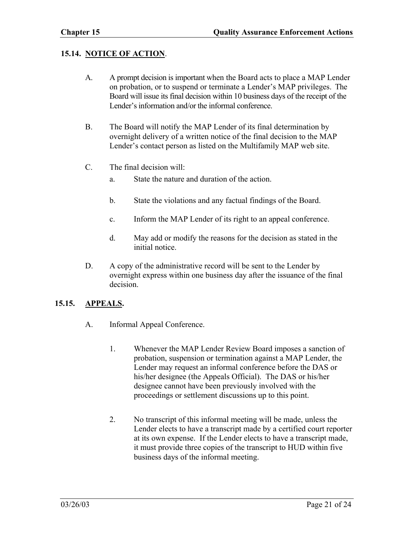## **15.14. NOTICE OF ACTION**.

- A. A prompt decision is important when the Board acts to place a MAP Lender on probation, or to suspend or terminate a Lender's MAP privileges. The Board will issue its final decision within 10 business days of the receipt of the Lender's information and/or the informal conference.
- B. The Board will notify the MAP Lender of its final determination by overnight delivery of a written notice of the final decision to the MAP Lender's contact person as listed on the Multifamily MAP web site.
- C. The final decision will:
	- a. State the nature and duration of the action.
	- b. State the violations and any factual findings of the Board.
	- c. Inform the MAP Lender of its right to an appeal conference.
	- d. May add or modify the reasons for the decision as stated in the initial notice.
- D. A copy of the administrative record will be sent to the Lender by overnight express within one business day after the issuance of the final decision.

## **15.15. APPEALS.**

- A. Informal Appeal Conference.
	- 1. Whenever the MAP Lender Review Board imposes a sanction of probation, suspension or termination against a MAP Lender, the Lender may request an informal conference before the DAS or his/her designee (the Appeals Official). The DAS or his/her designee cannot have been previously involved with the proceedings or settlement discussions up to this point.
	- 2. No transcript of this informal meeting will be made, unless the Lender elects to have a transcript made by a certified court reporter at its own expense. If the Lender elects to have a transcript made, it must provide three copies of the transcript to HUD within five business days of the informal meeting.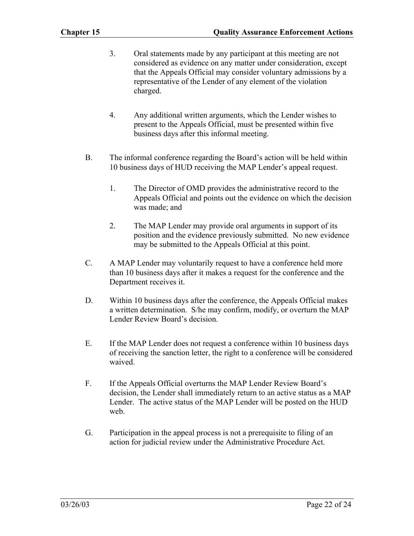- 3. Oral statements made by any participant at this meeting are not considered as evidence on any matter under consideration, except that the Appeals Official may consider voluntary admissions by a representative of the Lender of any element of the violation charged.
- 4. Any additional written arguments, which the Lender wishes to present to the Appeals Official, must be presented within five business days after this informal meeting.
- B. The informal conference regarding the Board's action will be held within 10 business days of HUD receiving the MAP Lender's appeal request.
	- 1. The Director of OMD provides the administrative record to the Appeals Official and points out the evidence on which the decision was made; and
	- 2. The MAP Lender may provide oral arguments in support of its position and the evidence previously submitted. No new evidence may be submitted to the Appeals Official at this point.
- C. A MAP Lender may voluntarily request to have a conference held more than 10 business days after it makes a request for the conference and the Department receives it.
- D. Within 10 business days after the conference, the Appeals Official makes a written determination. S/he may confirm, modify, or overturn the MAP Lender Review Board's decision.
- E. If the MAP Lender does not request a conference within 10 business days of receiving the sanction letter, the right to a conference will be considered waived.
- F. If the Appeals Official overturns the MAP Lender Review Board's decision, the Lender shall immediately return to an active status as a MAP Lender. The active status of the MAP Lender will be posted on the HUD web.
- G. Participation in the appeal process is not a prerequisite to filing of an action for judicial review under the Administrative Procedure Act.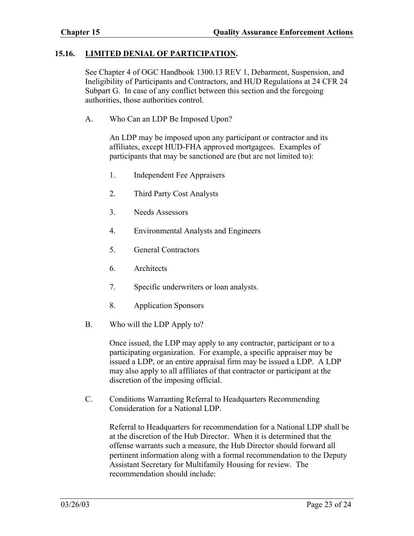#### **15.16. LIMITED DENIAL OF PARTICIPATION.**

See Chapter 4 of OGC Handbook 1300.13 REV 1, Debarment, Suspension, and Ineligibility of Participants and Contractors, and HUD Regulations at 24 CFR 24 Subpart G. In case of any conflict between this section and the foregoing authorities, those authorities control.

A. Who Can an LDP Be Imposed Upon?

An LDP may be imposed upon any participant or contractor and its affiliates, except HUD-FHA approved mortgagees. Examples of participants that may be sanctioned are (but are not limited to):

- 1. Independent Fee Appraisers
- 2. Third Party Cost Analysts
- 3. Needs Assessors
- 4. Environmental Analysts and Engineers
- 5. General Contractors
- 6. Architects
- 7. Specific underwriters or loan analysts.
- 8. Application Sponsors
- B. Who will the LDP Apply to?

Once issued, the LDP may apply to any contractor, participant or to a participating organization. For example, a specific appraiser may be issued a LDP, or an entire appraisal firm may be issued a LDP. A LDP may also apply to all affiliates of that contractor or participant at the discretion of the imposing official.

C. Conditions Warranting Referral to Headquarters Recommending Consideration for a National LDP.

> Referral to Headquarters for recommendation for a National LDP shall be at the discretion of the Hub Director. When it is determined that the offense warrants such a measure, the Hub Director should forward all pertinent information along with a formal recommendation to the Deputy Assistant Secretary for Multifamily Housing for review. The recommendation should include: